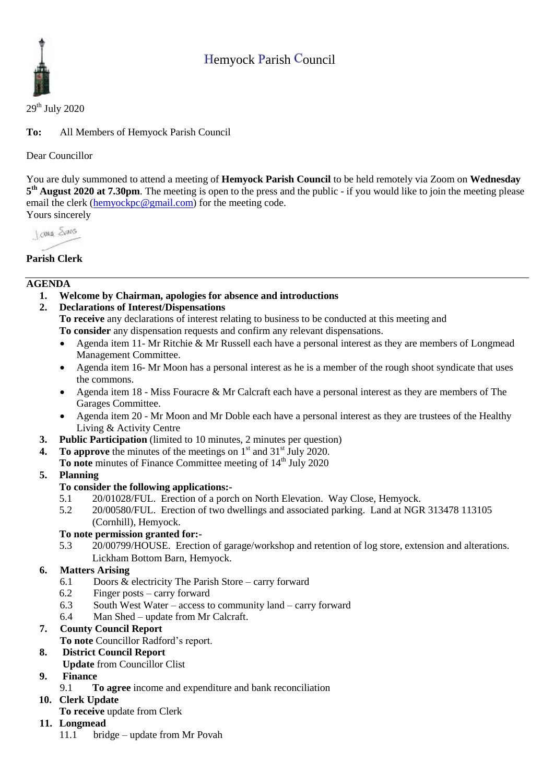# Hemyock Parish Council



 $29<sup>th</sup>$  July 2020

**To:** All Members of Hemyock Parish Council

Dear Councillor

You are duly summoned to attend a meeting of **Hemyock Parish Council** to be held remotely via Zoom on **Wednesday 5 th August 2020 at 7.30pm**. The meeting is open to the press and the public - if you would like to join the meeting please email the clerk [\(hemyockpc@gmail.com\)](mailto:hemyockpc@gmail.com) for the meeting code. Yours sincerely

I awa Shans

## **Parish Clerk**

#### **AGENDA**

- **1. Welcome by Chairman, apologies for absence and introductions**
- **2. Declarations of Interest/Dispensations**

**To receive** any declarations of interest relating to business to be conducted at this meeting and **To consider** any dispensation requests and confirm any relevant dispensations.

- Agenda item 11- Mr Ritchie & Mr Russell each have a personal interest as they are members of Longmead Management Committee.
- Agenda item 16- Mr Moon has a personal interest as he is a member of the rough shoot syndicate that uses the commons.
- Agenda item 18 Miss Fouracre & Mr Calcraft each have a personal interest as they are members of The Garages Committee.
- Agenda item 20 Mr Moon and Mr Doble each have a personal interest as they are trustees of the Healthy Living & Activity Centre
- **3. Public Participation** (limited to 10 minutes, 2 minutes per question)
- **4.** To approve the minutes of the meetings on  $1<sup>st</sup>$  and  $31<sup>st</sup>$  July 2020.
	- **To note** minutes of Finance Committee meeting of 14<sup>th</sup> July 2020

### **5. Planning**

### **To consider the following applications:-**

- 5.1 20/01028/FUL. Erection of a porch on North Elevation. Way Close, Hemyock.
- 5.2 20/00580/FUL. Erection of two dwellings and associated parking. Land at NGR 313478 113105 (Cornhill), Hemyock.

#### **To note permission granted for:-**

5.3 20/00799/HOUSE. Erection of garage/workshop and retention of log store, extension and alterations. Lickham Bottom Barn, Hemyock.

#### **6. Matters Arising**

- 6.1 Doors & electricity The Parish Store carry forward
- 6.2 Finger posts carry forward
- 6.3 South West Water access to community land carry forward
- 6.4 Man Shed update from Mr Calcraft.

#### **7. County Council Report**

- **To note** Councillor Radford's report.
- **8. District Council Report**
	- **Update** from Councillor Clist
- **9. Finance** 
	- 9.1 **To agree** income and expenditure and bank reconciliation

#### **10. Clerk Update**

**To receive** update from Clerk

#### **11. Longmead**

11.1 bridge – update from Mr Povah